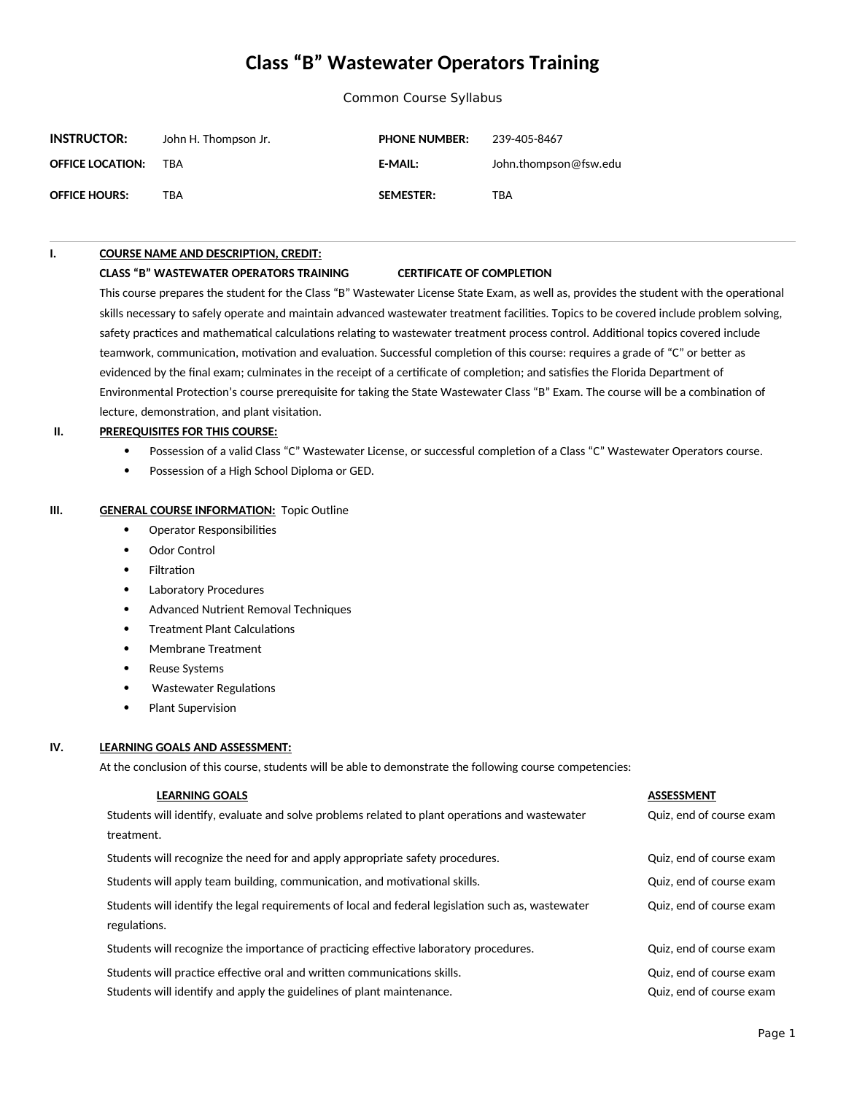# **Class "B" Wastewater Operators Training**

Common Course Syllabus

| <b>INSTRUCTOR:</b>      | John H. Thompson Jr. | <b>PHONE NUMBER:</b> | 239-405-8467          |
|-------------------------|----------------------|----------------------|-----------------------|
| <b>OFFICE LOCATION:</b> | TRA                  | <b>E-MAIL:</b>       | John.thompson@fsw.edu |
| <b>OFFICE HOURS:</b>    | TBA                  | <b>SEMESTER:</b>     | TBA                   |

#### **I. COURSE NAME AND DESCRIPTION, CREDIT:**

#### **CLASS "B" WASTEWATER OPERATORS TRAINING CERTIFICATE OF COMPLETION**

This course prepares the student for the Class "B" Wastewater License State Exam, as well as, provides the student with the operational skills necessary to safely operate and maintain advanced wastewater treatment facilities. Topics to be covered include problem solving, safety practices and mathematical calculations relating to wastewater treatment process control. Additional topics covered include teamwork, communication, motivation and evaluation. Successful completion of this course: requires a grade of "C" or better as evidenced by the final exam; culminates in the receipt of a certificate of completion; and satisfies the Florida Department of Environmental Protection's course prerequisite for taking the State Wastewater Class "B" Exam. The course will be a combination of lecture, demonstration, and plant visitation.

#### **II. PREREQUISITES FOR THIS COURSE:**

- Possession of a valid Class "C" Wastewater License, or successful completion of a Class "C" Wastewater Operators course.
- Possession of a High School Diploma or GED.

#### **III. GENERAL COURSE INFORMATION: Topic Outline**

- Operator Responsibilities
- Odor Control
- Filtration
- Laboratory Procedures
- Advanced Nutrient Removal Techniques
- Treatment Plant Calculations
- Membrane Treatment
- Reuse Systems
- Wastewater Regulations
- Plant Supervision

#### **IV. LEARNING GOALS AND ASSESSMENT:**

At the conclusion of this course, students will be able to demonstrate the following course competencies:

| <b>LEARNING GOALS</b>                                                                              | <b>ASSESSMENT</b>        |
|----------------------------------------------------------------------------------------------------|--------------------------|
| Students will identify, evaluate and solve problems related to plant operations and wastewater     | Quiz, end of course exam |
| treatment.                                                                                         |                          |
| Students will recognize the need for and apply appropriate safety procedures.                      | Quiz, end of course exam |
| Students will apply team building, communication, and motivational skills.                         | Quiz, end of course exam |
| Students will identify the legal requirements of local and federal legislation such as, wastewater | Quiz, end of course exam |
| regulations.                                                                                       |                          |
| Students will recognize the importance of practicing effective laboratory procedures.              | Quiz, end of course exam |
| Students will practice effective oral and written communications skills.                           | Quiz, end of course exam |
| Students will identify and apply the guidelines of plant maintenance.                              | Quiz, end of course exam |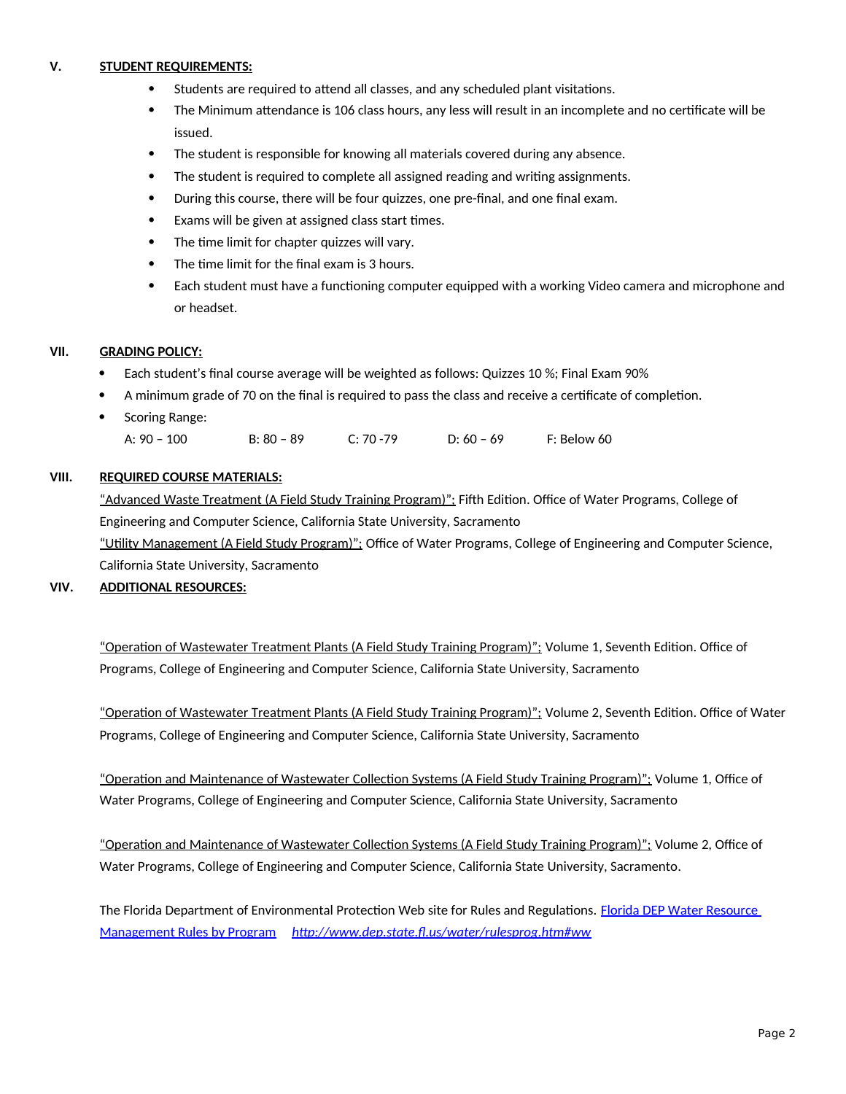# **V. STUDENT REQUIREMENTS:**

- Students are required to attend all classes, and any scheduled plant visitations.
- The Minimum attendance is 106 class hours, any less will result in an incomplete and no certificate will be issued.
- The student is responsible for knowing all materials covered during any absence.
- The student is required to complete all assigned reading and writing assignments.
- During this course, there will be four quizzes, one pre-final, and one final exam.
- Exams will be given at assigned class start times.
- The time limit for chapter quizzes will vary.
- The time limit for the final exam is 3 hours.
- Each student must have a functioning computer equipped with a working Video camera and microphone and or headset.

## **VII. GRADING POLICY:**

- Each student's final course average will be weighted as follows: Quizzes 10 %; Final Exam 90%
- A minimum grade of 70 on the final is required to pass the class and receive a certificate of completion.
- Scoring Range: A: 90 – 100 B: 80 – 89 C: 70 -79 D: 60 – 69 F: Below 60

# **VIII. REQUIRED COURSE MATERIALS:**

"Advanced Waste Treatment (A Field Study Training Program)"; Fifth Edition. Office of Water Programs, College of Engineering and Computer Science, California State University, Sacramento "Utility Management (A Field Study Program)"; Office of Water Programs, College of Engineering and Computer Science, California State University, Sacramento

## **VIV. ADDITIONAL RESOURCES:**

"Operation of Wastewater Treatment Plants (A Field Study Training Program)"; Volume 1, Seventh Edition. Office of Programs, College of Engineering and Computer Science, California State University, Sacramento

"Operation of Wastewater Treatment Plants (A Field Study Training Program)"; Volume 2, Seventh Edition. Office of Water Programs, College of Engineering and Computer Science, California State University, Sacramento

"Operation and Maintenance of Wastewater Collection Systems (A Field Study Training Program)"; Volume 1, Office of Water Programs, College of Engineering and Computer Science, California State University, Sacramento

"Operation and Maintenance of Wastewater Collection Systems (A Field Study Training Program)"; Volume 2, Office of Water Programs, College of Engineering and Computer Science, California State University, Sacramento.

The Florida Department of Environmental Protection Web site for Rules and Regulations. Florida DEP Water Resource [Management Rules by Program](./Florida%20DEP%20Water%20Resource%20Management%20Rules%20by%20Program) *<http://www.dep.state.fl.us/water/rulesprog.htm#ww>*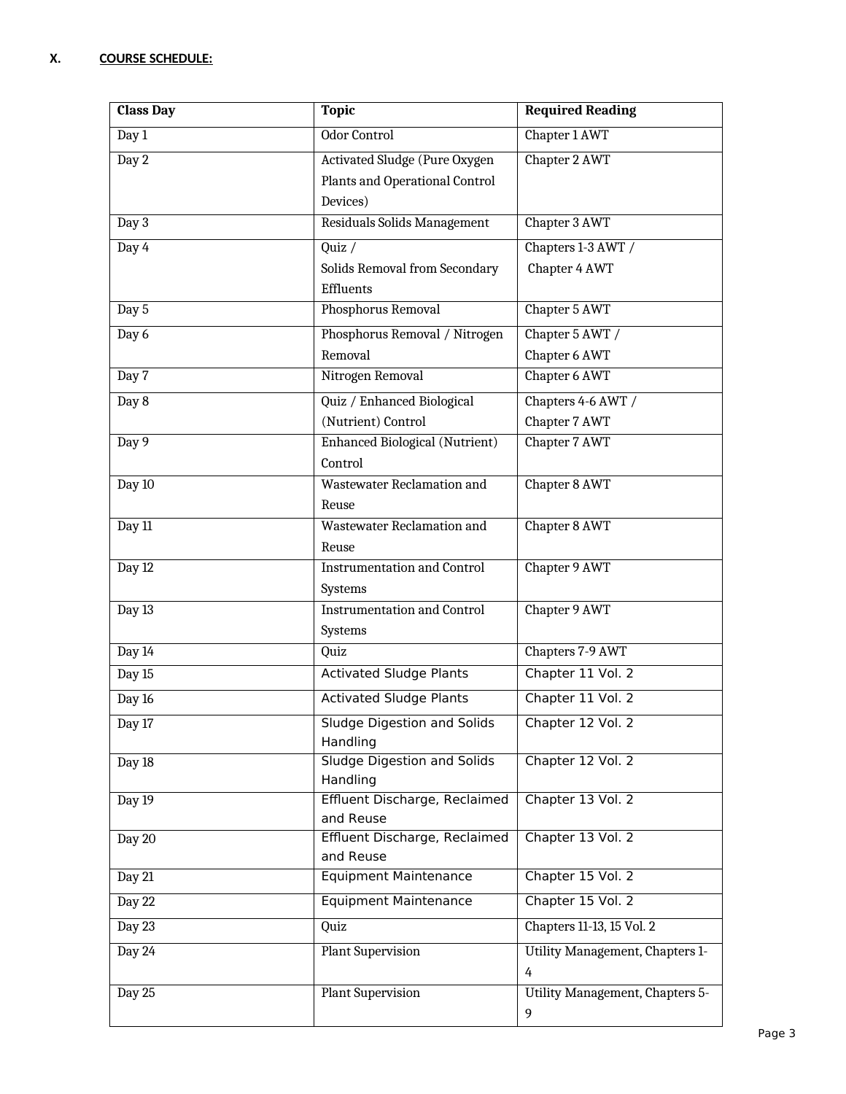| <b>Class Day</b> | <b>Topic</b>                                   | <b>Required Reading</b>                |
|------------------|------------------------------------------------|----------------------------------------|
| Day 1            | Odor Control                                   | Chapter 1 AWT                          |
| Day 2            | Activated Sludge (Pure Oxygen                  | Chapter 2 AWT                          |
|                  | Plants and Operational Control                 |                                        |
|                  | Devices)                                       |                                        |
| Day 3            | Residuals Solids Management                    | Chapter 3 AWT                          |
| Day 4            | Quiz $/$                                       | Chapters 1-3 AWT /                     |
|                  | Solids Removal from Secondary                  | Chapter 4 AWT                          |
|                  | Effluents                                      |                                        |
| Day 5            | Phosphorus Removal                             | Chapter 5 AWT                          |
| Day 6            | Phosphorus Removal / Nitrogen                  | Chapter 5 AWT /                        |
|                  | Removal                                        | Chapter 6 AWT                          |
| Day 7            | Nitrogen Removal                               | Chapter 6 AWT                          |
| Day 8            | Quiz / Enhanced Biological                     | Chapters 4-6 AWT /                     |
|                  | (Nutrient) Control                             | Chapter 7 AWT                          |
| Day 9            | Enhanced Biological (Nutrient)                 | Chapter 7 AWT                          |
|                  | Control<br>Wastewater Reclamation and          |                                        |
| Day 10           | Reuse                                          | Chapter 8 AWT                          |
| Day 11           | Wastewater Reclamation and                     | Chapter 8 AWT                          |
|                  | Reuse                                          |                                        |
| Day 12           | <b>Instrumentation and Control</b>             | Chapter 9 AWT                          |
|                  | Systems                                        |                                        |
| Day 13           | <b>Instrumentation and Control</b>             | Chapter 9 AWT                          |
|                  | Systems                                        |                                        |
| Day 14           | Quiz                                           | Chapters 7-9 AWT                       |
| Day 15           | <b>Activated Sludge Plants</b>                 | Chapter 11 Vol. 2                      |
| Day 16           | <b>Activated Sludge Plants</b>                 | Chapter 11 Vol. 2                      |
| Day 17           | <b>Sludge Digestion and Solids</b>             | Chapter 12 Vol. 2                      |
|                  | Handling                                       |                                        |
| Day 18           | <b>Sludge Digestion and Solids</b><br>Handling | Chapter 12 Vol. 2                      |
| Day 19           | Effluent Discharge, Reclaimed                  | Chapter 13 Vol. 2                      |
|                  | and Reuse                                      |                                        |
| Day 20           | Effluent Discharge, Reclaimed                  | Chapter 13 Vol. 2                      |
|                  | and Reuse                                      |                                        |
| Day 21           | <b>Equipment Maintenance</b>                   | Chapter 15 Vol. 2                      |
| Day 22           | <b>Equipment Maintenance</b>                   | Chapter 15 Vol. 2                      |
| Day 23           | Quiz                                           | Chapters 11-13, 15 Vol. 2              |
| Day 24           | <b>Plant Supervision</b>                       | Utility Management, Chapters 1-        |
|                  |                                                | 4                                      |
| Day 25           | <b>Plant Supervision</b>                       | <b>Utility Management, Chapters 5-</b> |
|                  |                                                | 9                                      |